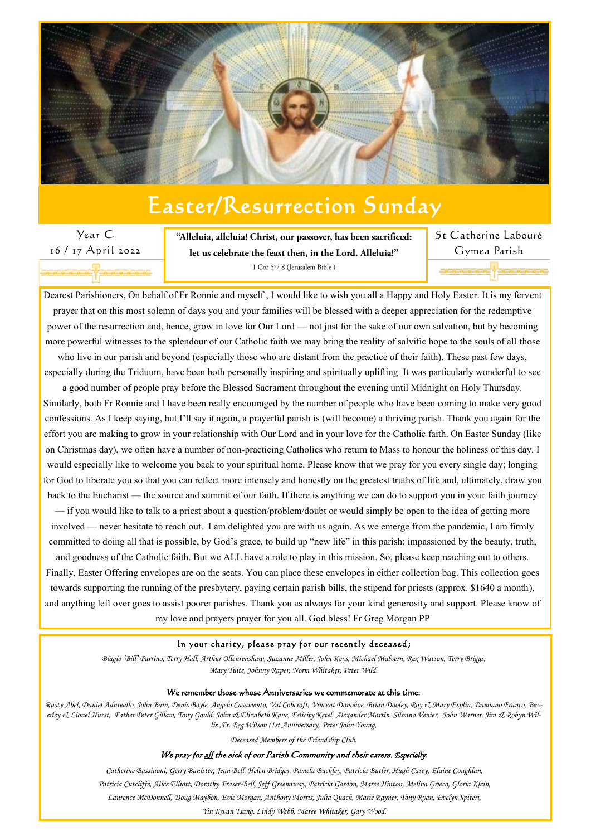Dearest Parishioners, On behalf of Fr Ronnie and myself , I would like to wish you all a Happy and Holy Easter. It is my fervent prayer that on this most solemn of days you and your families will be blessed with a deeper appreciation for the redemptive power of the resurrection and, hence, grow in love for Our Lord — not just for the sake of our own salvation, but by becoming more powerful witnesses to the splendour of our Catholic faith we may bring the reality of salvific hope to the souls of all those

who live in our parish and beyond (especially those who are distant from the practice of their faith). These past few days, especially during the Triduum, have been both personally inspiring and spiritually uplifting. It was particularly wonderful to see

a good number of people pray before the Blessed Sacrament throughout the evening until Midnight on Holy Thursday. Similarly, both Fr Ronnie and I have been really encouraged by the number of people who have been coming to make very good confessions. As I keep saying, but I'll say it again, a prayerful parish is (will become) a thriving parish. Thank you again for the effort you are making to grow in your relationship with Our Lord and in your love for the Catholic faith. On Easter Sunday (like on Christmas day), we often have a number of non-practicing Catholics who return to Mass to honour the holiness of this day. I would especially like to welcome you back to your spiritual home. Please know that we pray for you every single day; longing for God to liberate you so that you can reflect more intensely and honestly on the greatest truths of life and, ultimately, draw you back to the Eucharist — the source and summit of our faith. If there is anything we can do to support you in your faith journey

— if you would like to talk to a priest about a question/problem/doubt or would simply be open to the idea of getting more involved — never hesitate to reach out. I am delighted you are with us again. As we emerge from the pandemic, I am firmly committed to doing all that is possible, by God's grace, to build up "new life" in this parish; impassioned by the beauty, truth,

and goodness of the Catholic faith. But we ALL have a role to play in this mission. So, please keep reaching out to others. Finally, Easter Offering envelopes are on the seats. You can place these envelopes in either collection bag. This collection goes towards supporting the running of the presbytery, paying certain parish bills, the stipend for priests (approx. \$1640 a month), and anything left over goes to assist poorer parishes. Thank you as always for your kind generosity and support. Please know of

my love and prayers prayer for you all. God bless! Fr Greg Morgan PP

#### In your charity, please pray for our recently deceased;

*Biagio 'Bill' Parrino, Terry Hall, Arthur Ollenrenshaw, Suzanne Miller, John Keys, Michael Malvern, Rex Watson, Terry Briggs, Mary Tuite, Johnny Raper, Norm Whitaker, Peter Wild.*

#### We remember those whose Anniversaries we commemorate at this time:

*Rusty Abel, Daniel Adnreallo, John Bain, Denis Boyle, Angelo Casamento, Val Cobcroft, Vincent Donohoe, Brian Dooley, Roy & Mary Esplin, Damiano Franco, Beverley & Lionel Hurst, Father Peter Gillam, Tony Gould, John & Elizabeth Kane, Felicity Ketel, Alexander Martin, Silvano Venier, John Warner, Jim & Robyn Willis ,Fr. Reg Wilson (1st Anniversary*, *Peter John Young,* 

*Deceased Members of the Friendship Club.*

#### We pray for all the sick of our Parish Community and their carers. *Especially:*

*Catherine Bassiuoni, Gerry Banister, Jean Bell, Helen Bridges, Pamela Buckley, Patricia Butler, Hugh Casey, Elaine Coughlan, Patricia Cutcliffe, Alice Elliott, Dorothy Fraser-Bell, Jeff Greenaway, Patricia Gordon, Maree Hinton, Melina Grieco, Gloria Klein, Laurence McDonnell, Doug Maybon, Evie Morgan, Anthony Morris, Julia Quach, Marié Rayner, Tony Ryan, Evelyn Spiteri, Yin Kwan Tsang, Lindy Webb, Maree Whitaker, Gary Wood.*



# Easter/Resurrection Sunday

Year C 16 / 17 April 2022

"Alleluia, alleluia! Christ, our passover, has been sacrificed: let us celebrate the feast then, in the Lord. Alleluia!" 1 Cor 5:7-8 (Jerusalem Bible)

St Catherine Labouré Gymea Parish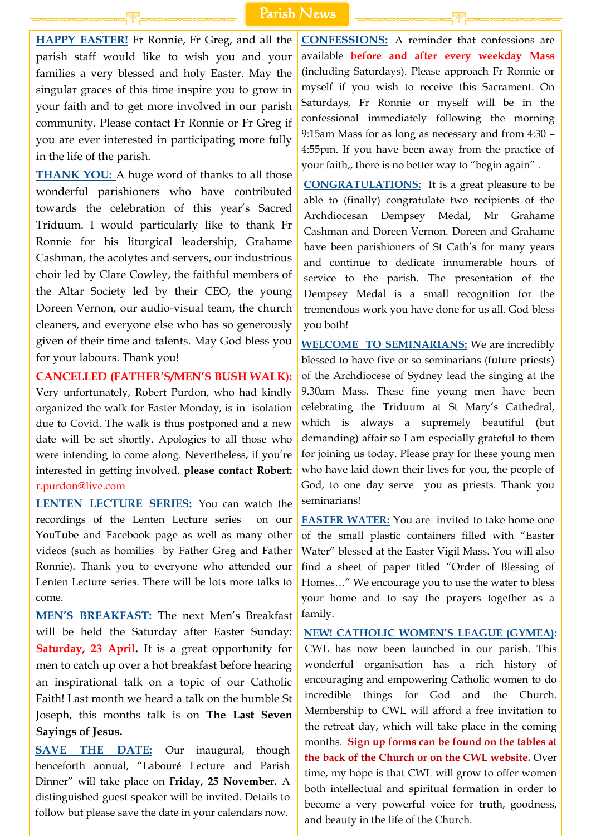**HAPPY EASTER!** Fr Ronnie, Fr Greg, and all the parish staff would like to wish you and your families a very blessed and holy Easter. May the singular graces of this time inspire you to grow in your faith and to get more involved in our parish community. Please contact Fr Ronnie or Fr Greg if you are ever interested in participating more fully in the life of the parish.

**THANK YOU:** A huge word of thanks to all those wonderful parishioners who have contributed towards the celebration of this year's Sacred Triduum. I would particularly like to thank Fr Ronnie for his liturgical leadership, Grahame Cashman, the acolytes and servers, our industrious choir led by Clare Cowley, the faithful members of the Altar Society led by their CEO, the young Doreen Vernon, our audio-visual team, the church cleaners, and everyone else who has so generously given of their time and talents. May God bless you for your labours. Thank you!

**CANCELLED (FATHER'S/MEN'S BUSH WALK):**

Very unfortunately, Robert Purdon, who had kindly organized the walk for Easter Monday, is in isolation due to Covid. The walk is thus postponed and a new date will be set shortly. Apologies to all those who were intending to come along. Nevertheless, if you're interested in getting involved, **please contact Robert:** r.purdon@live.com

**LENTEN LECTURE SERIES:** You can watch the recordings of the Lenten Lecture series on our YouTube and Facebook page as well as many other videos (such as homilies by Father Greg and Father Ronnie). Thank you to everyone who attended our Lenten Lecture series. There will be lots more talks to come.

**MEN'S BREAKFAST:** The next Men's Breakfast will be held the Saturday after Easter Sunday: **Saturday, 23 April.** It is a great opportunity for men to catch up over a hot breakfast before hearing an inspirational talk on a topic of our Catholic Faith! Last month we heard a talk on the humble St Joseph, this months talk is on **The Last Seven Sayings of Jesus.**

**EASTER WATER:** You are invited to take home one of the small plastic containers filled with "Easter Water" blessed at the Easter Vigil Mass. You will also find a sheet of paper titled "Order of Blessing of Homes…" We encourage you to use the water to bless your home and to say the prayers together as a family.

**SAVE THE DATE:** Our inaugural, though henceforth annual, "Labouré Lecture and Parish Dinner" will take place on **Friday, 25 November.** A distinguished guest speaker will be invited. Details to follow but please save the date in your calendars now.

**CONFESSIONS:** A reminder that confessions are available **before and after every weekday Mass** (including Saturdays). Please approach Fr Ronnie or myself if you wish to receive this Sacrament. On Saturdays, Fr Ronnie or myself will be in the confessional immediately following the morning 9:15am Mass for as long as necessary and from 4:30 – 4:55pm. If you have been away from the practice of your faith,, there is no better way to "begin again" .

**CONGRATULATIONS:** It is a great pleasure to be able to (finally) congratulate two recipients of the Archdiocesan Dempsey Medal, Mr Grahame Cashman and Doreen Vernon. Doreen and Grahame have been parishioners of St Cath's for many years and continue to dedicate innumerable hours of service to the parish. The presentation of the Dempsey Medal is a small recognition for the tremendous work you have done for us all. God bless you both!

**WELCOME TO SEMINARIANS:** We are incredibly blessed to have five or so seminarians (future priests) of the Archdiocese of Sydney lead the singing at the 9.30am Mass. These fine young men have been celebrating the Triduum at St Mary's Cathedral, which is always a supremely beautiful (but demanding) affair so I am especially grateful to them for joining us today. Please pray for these young men who have laid down their lives for you, the people of God, to one day serve you as priests. Thank you seminarians!

**NEW! CATHOLIC WOMEN'S LEAGUE (GYMEA):** 

CWL has now been launched in our parish. This wonderful organisation has a rich history of encouraging and empowering Catholic women to do incredible things for God and the Church. Membership to CWL will afford a free invitation to the retreat day, which will take place in the coming months. **Sign up forms can be found on the tables at the back of the Church or on the CWL website.** Over time, my hope is that CWL will grow to offer women both intellectual and spiritual formation in order to become a very powerful voice for truth, goodness, and beauty in the life of the Church.

## Parish News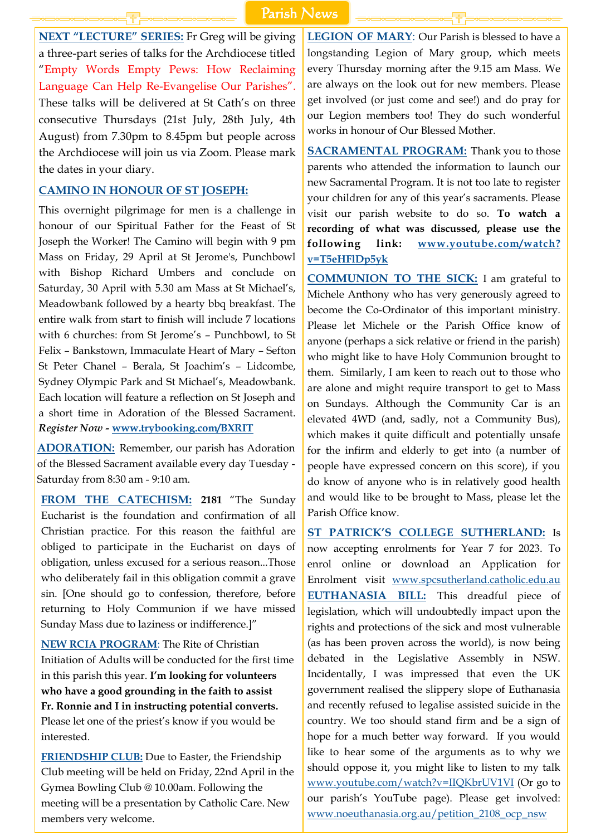**NEXT "LECTURE" SERIES:** Fr Greg will be giving a three-part series of talks for the Archdiocese titled "Empty Words Empty Pews: How Reclaiming Language Can Help Re-Evangelise Our Parishes". These talks will be delivered at St Cath's on three consecutive Thursdays (21st July, 28th July, 4th August) from 7.30pm to 8.45pm but people across the Archdiocese will join us via Zoom. Please mark the dates in your diary.

#### **CAMINO IN HONOUR OF ST JOSEPH:**

This overnight pilgrimage for men is a challenge in honour of our Spiritual Father for the Feast of St Joseph the Worker! The Camino will begin with 9 pm Mass on Friday, 29 April at St Jerome's, Punchbowl with Bishop Richard Umbers and conclude on Saturday, 30 April with 5.30 am Mass at St Michael's, Meadowbank followed by a hearty bbq breakfast. The entire walk from start to finish will include 7 locations with 6 churches: from St Jerome's - Punchbowl, to St Felix – Bankstown, Immaculate Heart of Mary – Sefton St Peter Chanel – Berala, St Joachim's – Lidcombe, Sydney Olympic Park and St Michael's, Meadowbank. Each location will feature a reflection on St Joseph and a short time in Adoration of the Blessed Sacrament. *Register Now -* **[www.trybooking.com/BXRIT](https://www.trybooking.com/BXRIT)**

**ADORATION:** Remember, our parish has Adoration of the Blessed Sacrament available every day Tuesday - Saturday from 8:30 am - 9:10 am.

**SACRAMENTAL PROGRAM:** Thank you to those parents who attended the information to launch our new Sacramental Program. It is not too late to register your children for any of this year's sacraments. Please visit our parish website to do so. **To watch a recording of what was discussed, please use the following link: [www.youtube.com/watch?](http://www.youtube.com/watch?v=T5eHFlDp5yk) [v=T5eHFlDp5yk](http://www.youtube.com/watch?v=T5eHFlDp5yk)**

**FROM THE CATECHISM: 2181** "The Sunday Eucharist is the foundation and confirmation of all Christian practice. For this reason the faithful are obliged to participate in the Eucharist on days of obligation, unless excused for a serious reason...Those who deliberately fail in this obligation commit a grave sin. [One should go to confession, therefore, before returning to Holy Communion if we have missed Sunday Mass due to laziness or indifference.]"

**NEW RCIA PROGRAM**: The Rite of Christian Initiation of Adults will be conducted for the first time in this parish this year. **I'm looking for volunteers who have a good grounding in the faith to assist Fr. Ronnie and I in instructing potential converts.** Please let one of the priest's know if you would be interested.

**FRIENDSHIP CLUB:** Due to Easter, the Friendship Club meeting will be held on Friday, 22nd April in the Gymea Bowling Club @ 10.00am. Following the meeting will be a presentation by Catholic Care. New members very welcome.

**LEGION OF MARY**: Our Parish is blessed to have a longstanding Legion of Mary group, which meets every Thursday morning after the 9.15 am Mass. We are always on the look out for new members. Please get involved (or just come and see!) and do pray for our Legion members too! They do such wonderful works in honour of Our Blessed Mother.

**COMMUNION TO THE SICK:** I am grateful to Michele Anthony who has very generously agreed to become the Co-Ordinator of this important ministry. Please let Michele or the Parish Office know of anyone (perhaps a sick relative or friend in the parish) who might like to have Holy Communion brought to them. Similarly, I am keen to reach out to those who are alone and might require transport to get to Mass on Sundays. Although the Community Car is an elevated 4WD (and, sadly, not a Community Bus), which makes it quite difficult and potentially unsafe for the infirm and elderly to get into (a number of people have expressed concern on this score), if you do know of anyone who is in relatively good health and would like to be brought to Mass, please let the Parish Office know.

**ST PATRICK'S COLLEGE SUTHERLAND:** Is now accepting enrolments for Year 7 for 2023. To enrol online or download an Application for Enrolment visit [www.spcsutherland.catholic.edu.au](http://www.spcsutherland.catholic.edu.au) **EUTHANASIA BILL:** This dreadful piece of legislation, which will undoubtedly impact upon the rights and protections of the sick and most vulnerable (as has been proven across the world), is now being debated in the Legislative Assembly in NSW. Incidentally, I was impressed that even the UK government realised the slippery slope of Euthanasia and recently refused to legalise assisted suicide in the country. We too should stand firm and be a sign of hope for a much better way forward. If you would like to hear some of the arguments as to why we should oppose it, you might like to listen to my talk [www.youtube.com/watch?v=IIQKbrUV1VI](http://www.youtube.com/watch?v=IIQKbrUV1VI) (Or go to our parish's YouTube page). Please get involved: [www.noeuthanasia.org.au/petition\\_2108\\_ocp\\_nsw](https://www.noeuthanasia.org.au/petition_2108_ocp_nsw?fbclid=IwAR18cRqaBaN1wLcM5iSon8wAcI_62vkMm1KVG0_zKy5ZPT0N2WgU8B87YYI)

# Parish News